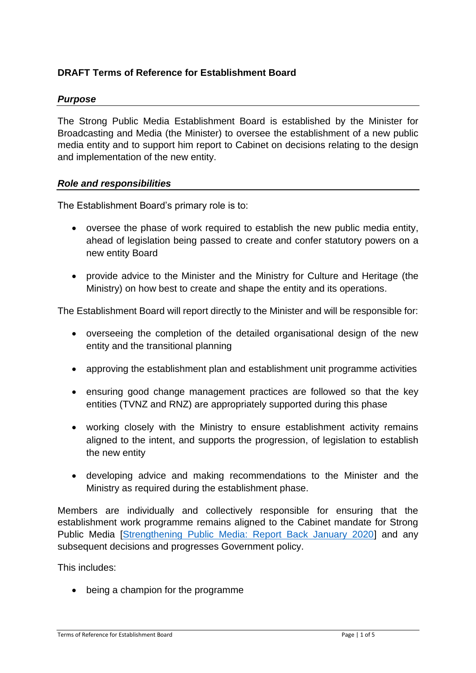# **DRAFT Terms of Reference for Establishment Board**

## *Purpose*

The Strong Public Media Establishment Board is established by the Minister for Broadcasting and Media (the Minister) to oversee the establishment of a new public media entity and to support him report to Cabinet on decisions relating to the design and implementation of the new entity.

#### *Role and responsibilities*

The Establishment Board's primary role is to:

- oversee the phase of work required to establish the new public media entity, ahead of legislation being passed to create and confer statutory powers on a new entity Board
- provide advice to the Minister and the Ministry for Culture and Heritage (the Ministry) on how best to create and shape the entity and its operations.

The Establishment Board will report directly to the Minister and will be responsible for:

- overseeing the completion of the detailed organisational design of the new entity and the transitional planning
- approving the establishment plan and establishment unit programme activities
- ensuring good change management practices are followed so that the key entities (TVNZ and RNZ) are appropriately supported during this phase
- working closely with the Ministry to ensure establishment activity remains aligned to the intent, and supports the progression, of legislation to establish the new entity
- developing advice and making recommendations to the Minister and the Ministry as required during the establishment phase.

Members are individually and collectively responsible for ensuring that the establishment work programme remains aligned to the Cabinet mandate for Strong Public Media [\[Strengthening Public Media: Report Back January 2020\]](https://mch.govt.nz/sites/default/files/projects/Strengthening%20Public%20Media%20Report%20Back%20%E2%80%93%20January%202020%20Cabinet%20meeting.pdf) and any subsequent decisions and progresses Government policy.

This includes:

• being a champion for the programme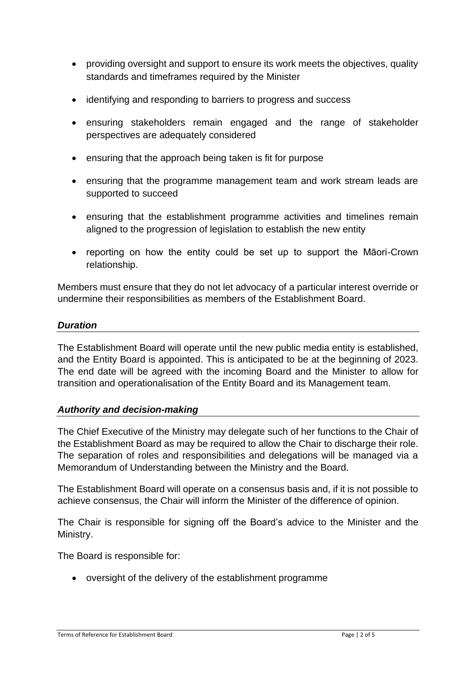- providing oversight and support to ensure its work meets the objectives, quality standards and timeframes required by the Minister
- identifying and responding to barriers to progress and success
- ensuring stakeholders remain engaged and the range of stakeholder perspectives are adequately considered
- ensuring that the approach being taken is fit for purpose
- ensuring that the programme management team and work stream leads are supported to succeed
- ensuring that the establishment programme activities and timelines remain aligned to the progression of legislation to establish the new entity
- reporting on how the entity could be set up to support the Māori-Crown relationship.

Members must ensure that they do not let advocacy of a particular interest override or undermine their responsibilities as members of the Establishment Board.

## *Duration*

The Establishment Board will operate until the new public media entity is established, and the Entity Board is appointed. This is anticipated to be at the beginning of 2023. The end date will be agreed with the incoming Board and the Minister to allow for transition and operationalisation of the Entity Board and its Management team.

#### *Authority and decision-making*

The Chief Executive of the Ministry may delegate such of her functions to the Chair of the Establishment Board as may be required to allow the Chair to discharge their role. The separation of roles and responsibilities and delegations will be managed via a Memorandum of Understanding between the Ministry and the Board.

The Establishment Board will operate on a consensus basis and, if it is not possible to achieve consensus, the Chair will inform the Minister of the difference of opinion.

The Chair is responsible for signing off the Board's advice to the Minister and the Ministry.

The Board is responsible for:

• oversight of the delivery of the establishment programme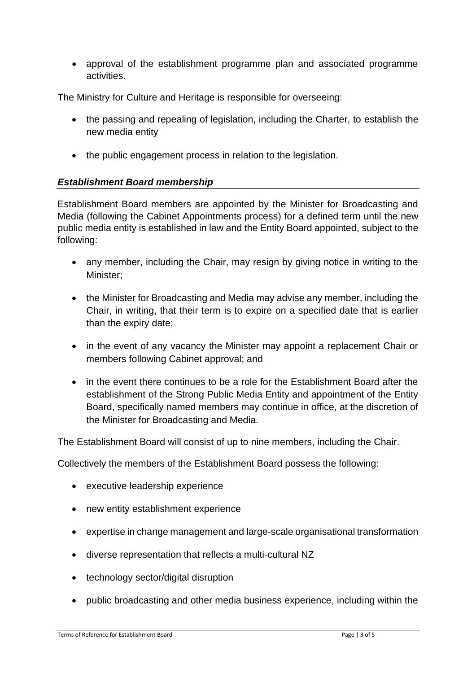• approval of the establishment programme plan and associated programme activities.

The Ministry for Culture and Heritage is responsible for overseeing:

- the passing and repealing of legislation, including the Charter, to establish the new media entity
- the public engagement process in relation to the legislation.

## *Establishment Board membership*

Establishment Board members are appointed by the Minister for Broadcasting and Media (following the Cabinet Appointments process) for a defined term until the new public media entity is established in law and the Entity Board appointed, subject to the following:

- any member, including the Chair, may resign by giving notice in writing to the Minister;
- the Minister for Broadcasting and Media may advise any member, including the Chair, in writing, that their term is to expire on a specified date that is earlier than the expiry date;
- in the event of any vacancy the Minister may appoint a replacement Chair or members following Cabinet approval; and
- in the event there continues to be a role for the Establishment Board after the establishment of the Strong Public Media Entity and appointment of the Entity Board, specifically named members may continue in office, at the discretion of the Minister for Broadcasting and Media.

The Establishment Board will consist of up to nine members, including the Chair.

Collectively the members of the Establishment Board possess the following:

- executive leadership experience
- new entity establishment experience
- expertise in change management and large-scale organisational transformation
- diverse representation that reflects a multi-cultural NZ
- technology sector/digital disruption
- public broadcasting and other media business experience, including within the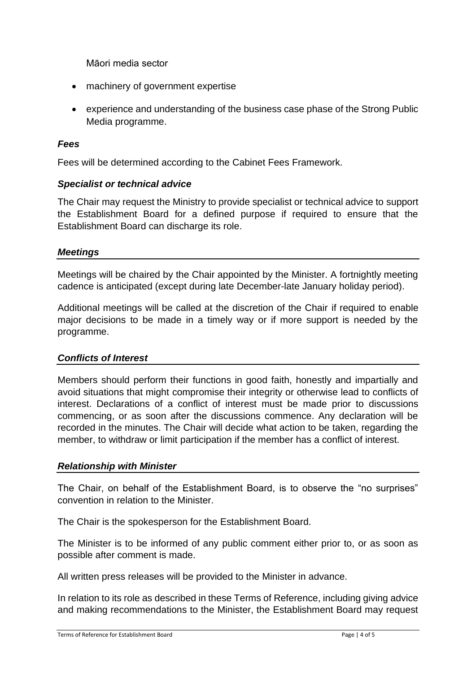Māori media sector

- machinery of government expertise
- experience and understanding of the business case phase of the Strong Public Media programme.

### *Fees*

Fees will be determined according to the Cabinet Fees Framework.

### *Specialist or technical advice*

The Chair may request the Ministry to provide specialist or technical advice to support the Establishment Board for a defined purpose if required to ensure that the Establishment Board can discharge its role.

### *Meetings*

Meetings will be chaired by the Chair appointed by the Minister. A fortnightly meeting cadence is anticipated (except during late December-late January holiday period).

Additional meetings will be called at the discretion of the Chair if required to enable major decisions to be made in a timely way or if more support is needed by the programme.

#### *Conflicts of Interest*

Members should perform their functions in good faith, honestly and impartially and avoid situations that might compromise their integrity or otherwise lead to conflicts of interest. Declarations of a conflict of interest must be made prior to discussions commencing, or as soon after the discussions commence. Any declaration will be recorded in the minutes. The Chair will decide what action to be taken, regarding the member, to withdraw or limit participation if the member has a conflict of interest.

#### *Relationship with Minister*

The Chair, on behalf of the Establishment Board, is to observe the "no surprises" convention in relation to the Minister.

The Chair is the spokesperson for the Establishment Board.

The Minister is to be informed of any public comment either prior to, or as soon as possible after comment is made.

All written press releases will be provided to the Minister in advance.

In relation to its role as described in these Terms of Reference, including giving advice and making recommendations to the Minister, the Establishment Board may request